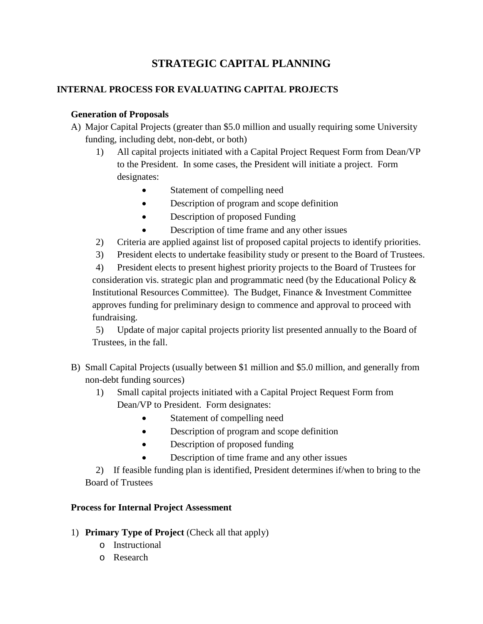# **STRATEGIC CAPITAL PLANNING**

### **INTERNAL PROCESS FOR EVALUATING CAPITAL PROJECTS**

# **Generation of Proposals**

- A) Major Capital Projects (greater than \$5.0 million and usually requiring some University funding, including debt, non-debt, or both)
	- 1) All capital projects initiated with a Capital Project Request Form from Dean/VP to the President. In some cases, the President will initiate a project. Form designates:
		- Statement of compelling need
		- Description of program and scope definition
		- Description of proposed Funding
		- Description of time frame and any other issues
	- 2) Criteria are applied against list of proposed capital projects to identify priorities.
	- 3) President elects to undertake feasibility study or present to the Board of Trustees.

4) President elects to present highest priority projects to the Board of Trustees for consideration vis. strategic plan and programmatic need (by the Educational Policy & Institutional Resources Committee). The Budget, Finance & Investment Committee approves funding for preliminary design to commence and approval to proceed with fundraising.

5) Update of major capital projects priority list presented annually to the Board of Trustees, in the fall.

- B) Small Capital Projects (usually between \$1 million and \$5.0 million, and generally from non-debt funding sources)
	- 1) Small capital projects initiated with a Capital Project Request Form from Dean/VP to President. Form designates:
		- Statement of compelling need
		- Description of program and scope definition
		- Description of proposed funding
		- Description of time frame and any other issues

2) If feasible funding plan is identified, President determines if/when to bring to the Board of Trustees

### **Process for Internal Project Assessment**

- 1) **Primary Type of Project** (Check all that apply)
	- o Instructional
	- o Research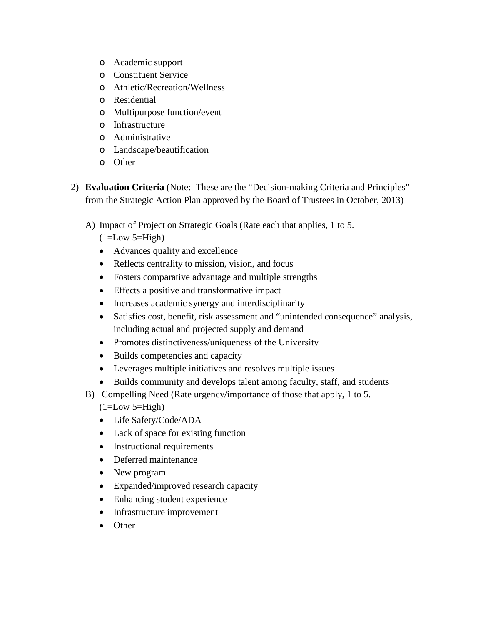- o Academic support
- o Constituent Service
- o Athletic/Recreation/Wellness
- o Residential
- o Multipurpose function/event
- o Infrastructure
- o Administrative
- o Landscape/beautification
- o Other
- 2) **Evaluation Criteria** (Note: These are the "Decision-making Criteria and Principles" from the Strategic Action Plan approved by the Board of Trustees in October, 2013)
	- A) Impact of Project on Strategic Goals (Rate each that applies, 1 to 5.
		- $(1=Low 5=High)$
		- Advances quality and excellence
		- Reflects centrality to mission, vision, and focus
		- Fosters comparative advantage and multiple strengths
		- Effects a positive and transformative impact
		- Increases academic synergy and interdisciplinarity
		- Satisfies cost, benefit, risk assessment and "unintended consequence" analysis, including actual and projected supply and demand
		- Promotes distinctiveness/uniqueness of the University
		- Builds competencies and capacity
		- Leverages multiple initiatives and resolves multiple issues
		- Builds community and develops talent among faculty, staff, and students
	- B) Compelling Need (Rate urgency/importance of those that apply, 1 to 5.  $(1=Low 5=High)$ 
		- Life Safety/Code/ADA
		- Lack of space for existing function
		- Instructional requirements
		- Deferred maintenance
		- New program
		- Expanded/improved research capacity
		- Enhancing student experience
		- Infrastructure improvement
		- Other